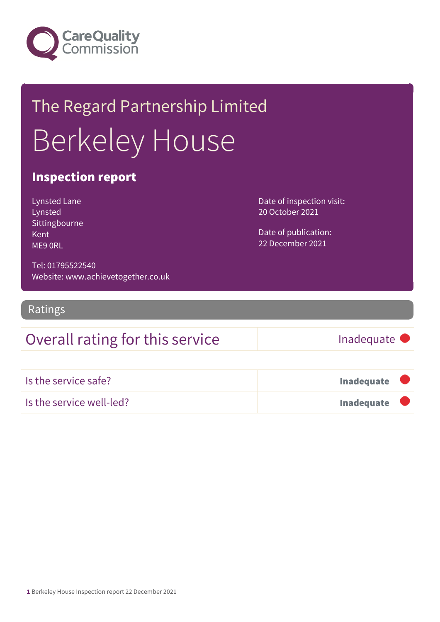

## The Regard Partnership Limited Berkeley House

#### Inspection report

Lynsted Lane Lynsted Sittingbourne Kent ME9 0RL

Date of inspection visit: 20 October 2021

Date of publication: 22 December 2021

Tel: 01795522540 Website: www.achievetogether.co.uk

Ratings

## Overall rating for this service Inadequate

| Is the service safe?     | <b>Inadequate</b> |  |
|--------------------------|-------------------|--|
| Is the service well-led? | <b>Inadequate</b> |  |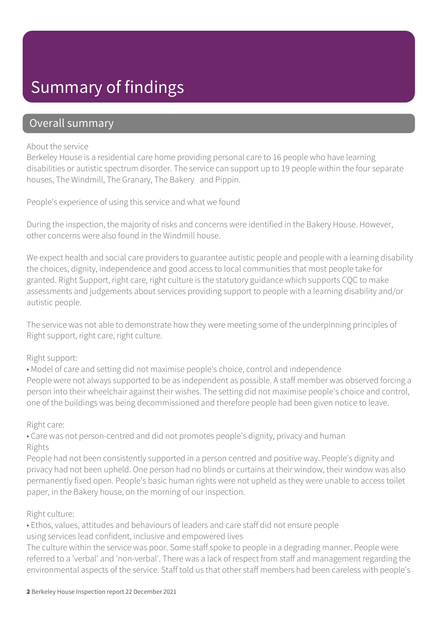## Summary of findings

#### Overall summary

#### About the service

Berkeley House is a residential care home providing personal care to 16 people who have learning disabilities or autistic spectrum disorder. The service can support up to 19 people within the four separate houses, The Windmill, The Granary, The Bakery and Pippin.

People's experience of using this service and what we found

During the inspection, the majority of risks and concerns were identified in the Bakery House. However, other concerns were also found in the Windmill house.

We expect health and social care providers to guarantee autistic people and people with a learning disability the choices, dignity, independence and good access to local communities that most people take for granted. Right Support, right care, right culture is the statutory guidance which supports CQC to make assessments and judgements about services providing support to people with a learning disability and/or autistic people.

The service was not able to demonstrate how they were meeting some of the underpinning principles of Right support, right care, right culture.

#### Right support:

• Model of care and setting did not maximise people's choice, control and independence People were not always supported to be as independent as possible. A staff member was observed forcing a person into their wheelchair against their wishes. The setting did not maximise people's choice and control, one of the buildings was being decommissioned and therefore people had been given notice to leave.

#### Right care:

• Care was not person-centred and did not promotes people's dignity, privacy and human Rights

People had not been consistently supported in a person centred and positive way. People's dignity and privacy had not been upheld. One person had no blinds or curtains at their window, their window was also permanently fixed open. People's basic human rights were not upheld as they were unable to access toilet paper, in the Bakery house, on the morning of our inspection.

#### Right culture:

• Ethos, values, attitudes and behaviours of leaders and care staff did not ensure people using services lead confident, inclusive and empowered lives

The culture within the service was poor. Some staff spoke to people in a degrading manner. People were referred to a 'verbal' and 'non-verbal'. There was a lack of respect from staff and management regarding the environmental aspects of the service. Staff told us that other staff members had been careless with people's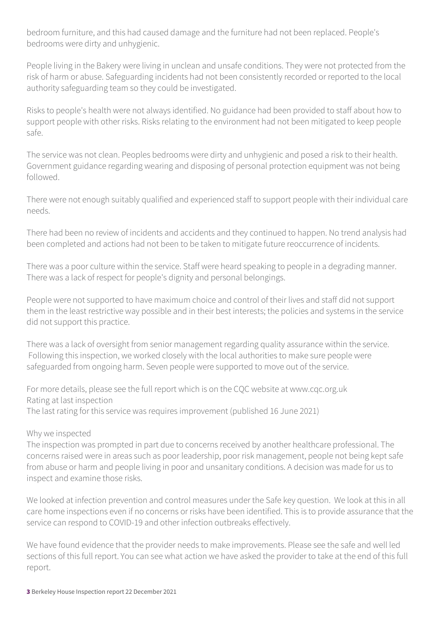bedroom furniture, and this had caused damage and the furniture had not been replaced. People's bedrooms were dirty and unhygienic.

People living in the Bakery were living in unclean and unsafe conditions. They were not protected from the risk of harm or abuse. Safeguarding incidents had not been consistently recorded or reported to the local authority safeguarding team so they could be investigated.

Risks to people's health were not always identified. No guidance had been provided to staff about how to support people with other risks. Risks relating to the environment had not been mitigated to keep people safe.

The service was not clean. Peoples bedrooms were dirty and unhygienic and posed a risk to their health. Government guidance regarding wearing and disposing of personal protection equipment was not being followed.

There were not enough suitably qualified and experienced staff to support people with their individual care needs.

There had been no review of incidents and accidents and they continued to happen. No trend analysis had been completed and actions had not been to be taken to mitigate future reoccurrence of incidents.

There was a poor culture within the service. Staff were heard speaking to people in a degrading manner. There was a lack of respect for people's dignity and personal belongings.

People were not supported to have maximum choice and control of their lives and staff did not support them in the least restrictive way possible and in their best interests; the policies and systems in the service did not support this practice.

There was a lack of oversight from senior management regarding quality assurance within the service. Following this inspection, we worked closely with the local authorities to make sure people were safeguarded from ongoing harm. Seven people were supported to move out of the service.

For more details, please see the full report which is on the CQC website at www.cqc.org.uk Rating at last inspection The last rating for this service was requires improvement (published 16 June 2021)

#### Why we inspected

The inspection was prompted in part due to concerns received by another healthcare professional. The concerns raised were in areas such as poor leadership, poor risk management, people not being kept safe from abuse or harm and people living in poor and unsanitary conditions. A decision was made for us to inspect and examine those risks.

We looked at infection prevention and control measures under the Safe key question. We look at this in all care home inspections even if no concerns or risks have been identified. This is to provide assurance that the service can respond to COVID-19 and other infection outbreaks effectively.

We have found evidence that the provider needs to make improvements. Please see the safe and well led sections of this full report. You can see what action we have asked the provider to take at the end of this full report.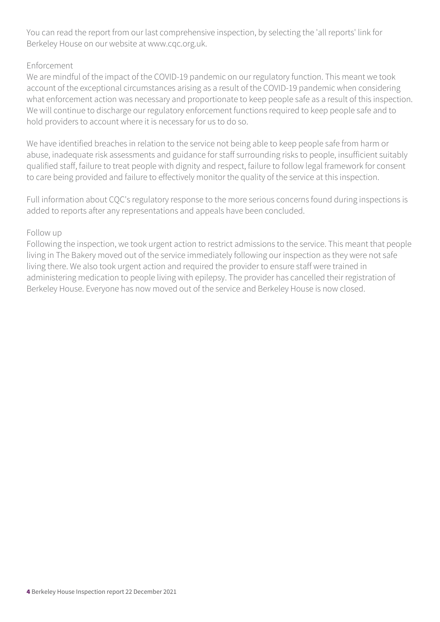You can read the report from our last comprehensive inspection, by selecting the 'all reports' link for Berkeley House on our website at www.cqc.org.uk.

#### Enforcement

We are mindful of the impact of the COVID-19 pandemic on our regulatory function. This meant we took account of the exceptional circumstances arising as a result of the COVID-19 pandemic when considering what enforcement action was necessary and proportionate to keep people safe as a result of this inspection. We will continue to discharge our regulatory enforcement functions required to keep people safe and to hold providers to account where it is necessary for us to do so.

We have identified breaches in relation to the service not being able to keep people safe from harm or abuse, inadequate risk assessments and guidance for staff surrounding risks to people, insufficient suitably qualified staff, failure to treat people with dignity and respect, failure to follow legal framework for consent to care being provided and failure to effectively monitor the quality of the service at this inspection.

Full information about CQC's regulatory response to the more serious concerns found during inspections is added to reports after any representations and appeals have been concluded.

#### Follow up

Following the inspection, we took urgent action to restrict admissions to the service. This meant that people living in The Bakery moved out of the service immediately following our inspection as they were not safe living there. We also took urgent action and required the provider to ensure staff were trained in administering medication to people living with epilepsy. The provider has cancelled their registration of Berkeley House. Everyone has now moved out of the service and Berkeley House is now closed.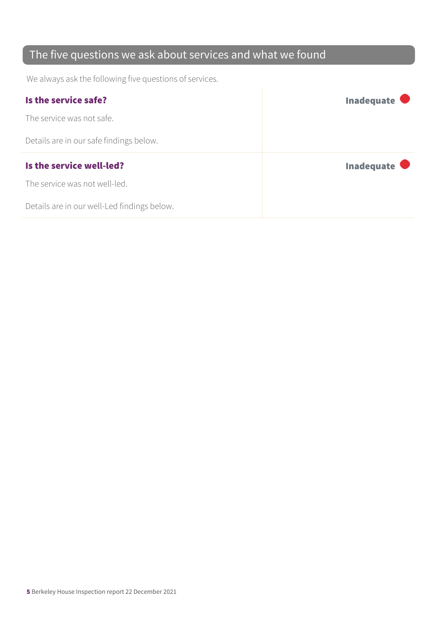## The five questions we ask about services and what we found

We always ask the following five questions of services.

| Is the service safe?                    | Inadequate           |
|-----------------------------------------|----------------------|
| The service was not safe.               |                      |
| Details are in our safe findings below. |                      |
|                                         |                      |
| Is the service well-led?                | Inadequate $\bullet$ |
| The service was not well-led.           |                      |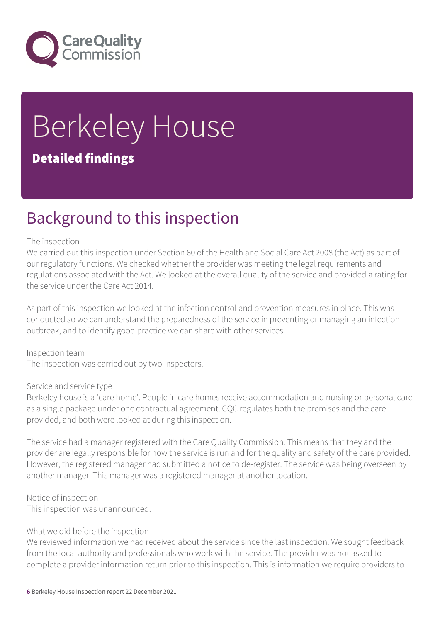

# Berkeley House

### Detailed findings

## Background to this inspection

#### The inspection

We carried out this inspection under Section 60 of the Health and Social Care Act 2008 (the Act) as part of our regulatory functions. We checked whether the provider was meeting the legal requirements and regulations associated with the Act. We looked at the overall quality of the service and provided a rating for the service under the Care Act 2014.

As part of this inspection we looked at the infection control and prevention measures in place. This was conducted so we can understand the preparedness of the service in preventing or managing an infection outbreak, and to identify good practice we can share with other services.

Inspection team The inspection was carried out by two inspectors.

#### Service and service type

Berkeley house is a 'care home'. People in care homes receive accommodation and nursing or personal care as a single package under one contractual agreement. CQC regulates both the premises and the care provided, and both were looked at during this inspection.

The service had a manager registered with the Care Quality Commission. This means that they and the provider are legally responsible for how the service is run and for the quality and safety of the care provided. However, the registered manager had submitted a notice to de-register. The service was being overseen by another manager. This manager was a registered manager at another location.

Notice of inspection

This inspection was unannounced.

#### What we did before the inspection

We reviewed information we had received about the service since the last inspection. We sought feedback from the local authority and professionals who work with the service. The provider was not asked to complete a provider information return prior to this inspection. This is information we require providers to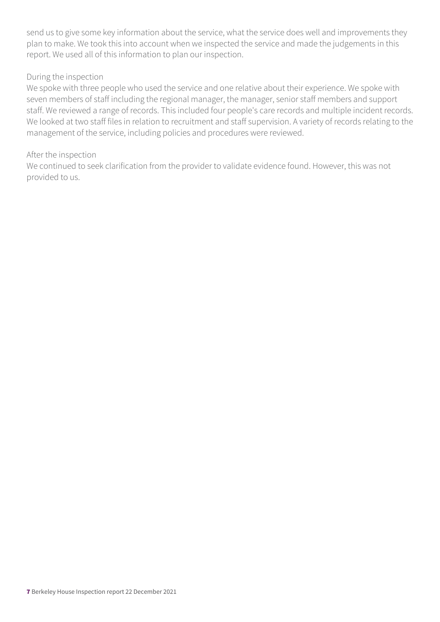send us to give some key information about the service, what the service does well and improvements they plan to make. We took this into account when we inspected the service and made the judgements in this report. We used all of this information to plan our inspection.

#### During the inspection

We spoke with three people who used the service and one relative about their experience. We spoke with seven members of staff including the regional manager, the manager, senior staff members and support staff. We reviewed a range of records. This included four people's care records and multiple incident records. We looked at two staff files in relation to recruitment and staff supervision. A variety of records relating to the management of the service, including policies and procedures were reviewed.

#### After the inspection

We continued to seek clarification from the provider to validate evidence found. However, this was not provided to us.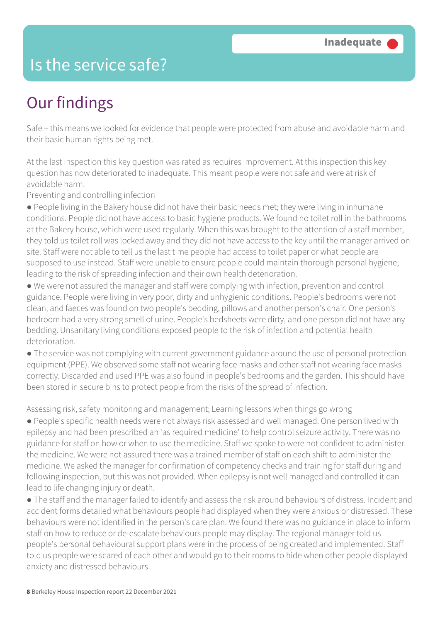## Is the service safe?

## Our findings

Safe – this means we looked for evidence that people were protected from abuse and avoidable harm and their basic human rights being met.

At the last inspection this key question was rated as requires improvement. At this inspection this key question has now deteriorated to inadequate. This meant people were not safe and were at risk of avoidable harm.

Preventing and controlling infection

● People living in the Bakery house did not have their basic needs met; they were living in inhumane conditions. People did not have access to basic hygiene products. We found no toilet roll in the bathrooms at the Bakery house, which were used regularly. When this was brought to the attention of a staff member, they told us toilet roll was locked away and they did not have access to the key until the manager arrived on site. Staff were not able to tell us the last time people had access to toilet paper or what people are supposed to use instead. Staff were unable to ensure people could maintain thorough personal hygiene, leading to the risk of spreading infection and their own health deterioration.

● We were not assured the manager and staff were complying with infection, prevention and control guidance. People were living in very poor, dirty and unhygienic conditions. People's bedrooms were not clean, and faeces was found on two people's bedding, pillows and another person's chair. One person's bedroom had a very strong smell of urine. People's bedsheets were dirty, and one person did not have any bedding. Unsanitary living conditions exposed people to the risk of infection and potential health deterioration.

● The service was not complying with current government guidance around the use of personal protection equipment (PPE). We observed some staff not wearing face masks and other staff not wearing face masks correctly. Discarded and used PPE was also found in people's bedrooms and the garden. This should have been stored in secure bins to protect people from the risks of the spread of infection.

Assessing risk, safety monitoring and management; Learning lessons when things go wrong

● People's specific health needs were not always risk assessed and well managed. One person lived with epilepsy and had been prescribed an 'as required medicine' to help control seizure activity. There was no guidance for staff on how or when to use the medicine. Staff we spoke to were not confident to administer the medicine. We were not assured there was a trained member of staff on each shift to administer the medicine. We asked the manager for confirmation of competency checks and training for staff during and following inspection, but this was not provided. When epilepsy is not well managed and controlled it can lead to life changing injury or death.

● The staff and the manager failed to identify and assess the risk around behaviours of distress. Incident and accident forms detailed what behaviours people had displayed when they were anxious or distressed. These behaviours were not identified in the person's care plan. We found there was no guidance in place to inform staff on how to reduce or de-escalate behaviours people may display. The regional manager told us people's personal behavioural support plans were in the process of being created and implemented. Staff told us people were scared of each other and would go to their rooms to hide when other people displayed anxiety and distressed behaviours.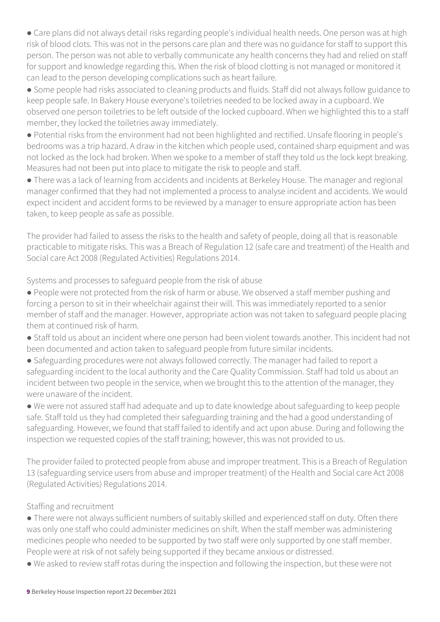• Care plans did not always detail risks regarding people's individual health needs. One person was at high risk of blood clots. This was not in the persons care plan and there was no guidance for staff to support this person. The person was not able to verbally communicate any health concerns they had and relied on staff for support and knowledge regarding this. When the risk of blood clotting is not managed or monitored it can lead to the person developing complications such as heart failure.

● Some people had risks associated to cleaning products and fluids. Staff did not always follow guidance to keep people safe. In Bakery House everyone's toiletries needed to be locked away in a cupboard. We observed one person toiletries to be left outside of the locked cupboard. When we highlighted this to a staff member, they locked the toiletries away immediately.

● Potential risks from the environment had not been highlighted and rectified. Unsafe flooring in people's bedrooms was a trip hazard. A draw in the kitchen which people used, contained sharp equipment and was not locked as the lock had broken. When we spoke to a member of staff they told us the lock kept breaking. Measures had not been put into place to mitigate the risk to people and staff.

● There was a lack of learning from accidents and incidents at Berkeley House. The manager and regional manager confirmed that they had not implemented a process to analyse incident and accidents. We would expect incident and accident forms to be reviewed by a manager to ensure appropriate action has been taken, to keep people as safe as possible.

The provider had failed to assess the risks to the health and safety of people, doing all that is reasonable practicable to mitigate risks. This was a Breach of Regulation 12 (safe care and treatment) of the Health and Social care Act 2008 (Regulated Activities) Regulations 2014.

Systems and processes to safeguard people from the risk of abuse

- People were not protected from the risk of harm or abuse. We observed a staff member pushing and forcing a person to sit in their wheelchair against their will. This was immediately reported to a senior member of staff and the manager. However, appropriate action was not taken to safeguard people placing them at continued risk of harm.
- Staff told us about an incident where one person had been violent towards another. This incident had not been documented and action taken to safeguard people from future similar incidents.
- Safeguarding procedures were not always followed correctly. The manager had failed to report a safeguarding incident to the local authority and the Care Quality Commission. Staff had told us about an incident between two people in the service, when we brought this to the attention of the manager, they were unaware of the incident.

● We were not assured staff had adequate and up to date knowledge about safeguarding to keep people safe. Staff told us they had completed their safeguarding training and the had a good understanding of safeguarding. However, we found that staff failed to identify and act upon abuse. During and following the inspection we requested copies of the staff training; however, this was not provided to us.

The provider failed to protected people from abuse and improper treatment. This is a Breach of Regulation 13 (safeguarding service users from abuse and improper treatment) of the Health and Social care Act 2008 (Regulated Activities) Regulations 2014.

#### Staffing and recruitment

● There were not always sufficient numbers of suitably skilled and experienced staff on duty. Often there was only one staff who could administer medicines on shift. When the staff member was administering medicines people who needed to be supported by two staff were only supported by one staff member. People were at risk of not safely being supported if they became anxious or distressed.

● We asked to review staff rotas during the inspection and following the inspection, but these were not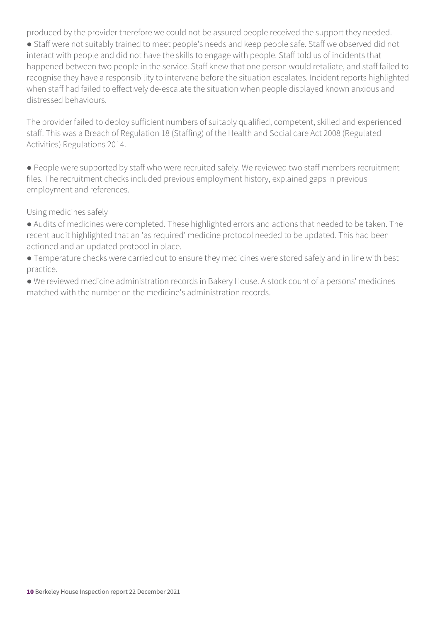produced by the provider therefore we could not be assured people received the support they needed.

● Staff were not suitably trained to meet people's needs and keep people safe. Staff we observed did not interact with people and did not have the skills to engage with people. Staff told us of incidents that happened between two people in the service. Staff knew that one person would retaliate, and staff failed to recognise they have a responsibility to intervene before the situation escalates. Incident reports highlighted when staff had failed to effectively de-escalate the situation when people displayed known anxious and distressed behaviours.

The provider failed to deploy sufficient numbers of suitably qualified, competent, skilled and experienced staff. This was a Breach of Regulation 18 (Staffing) of the Health and Social care Act 2008 (Regulated Activities) Regulations 2014.

● People were supported by staff who were recruited safely. We reviewed two staff members recruitment files. The recruitment checks included previous employment history, explained gaps in previous employment and references.

Using medicines safely

● Audits of medicines were completed. These highlighted errors and actions that needed to be taken. The recent audit highlighted that an 'as required' medicine protocol needed to be updated. This had been actioned and an updated protocol in place.

● Temperature checks were carried out to ensure they medicines were stored safely and in line with best practice.

● We reviewed medicine administration records in Bakery House. A stock count of a persons' medicines matched with the number on the medicine's administration records.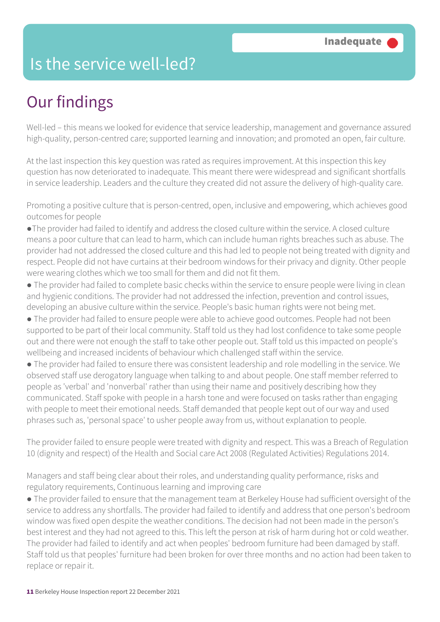## Is the service well-led?

## Our findings

Well-led – this means we looked for evidence that service leadership, management and governance assured high-quality, person-centred care; supported learning and innovation; and promoted an open, fair culture.

At the last inspection this key question was rated as requires improvement. At this inspection this key question has now deteriorated to inadequate. This meant there were widespread and significant shortfalls in service leadership. Leaders and the culture they created did not assure the delivery of high-quality care.

Promoting a positive culture that is person-centred, open, inclusive and empowering, which achieves good outcomes for people

●The provider had failed to identify and address the closed culture within the service. A closed culture means a poor culture that can lead to harm, which can include human rights breaches such as abuse. The provider had not addressed the closed culture and this had led to people not being treated with dignity and respect. People did not have curtains at their bedroom windows for their privacy and dignity. Other people were wearing clothes which we too small for them and did not fit them.

- The provider had failed to complete basic checks within the service to ensure people were living in clean and hygienic conditions. The provider had not addressed the infection, prevention and control issues, developing an abusive culture within the service. People's basic human rights were not being met.
- The provider had failed to ensure people were able to achieve good outcomes. People had not been supported to be part of their local community. Staff told us they had lost confidence to take some people out and there were not enough the staff to take other people out. Staff told us this impacted on people's wellbeing and increased incidents of behaviour which challenged staff within the service.
- The provider had failed to ensure there was consistent leadership and role modelling in the service. We observed staff use derogatory language when talking to and about people. One staff member referred to people as 'verbal' and 'nonverbal' rather than using their name and positively describing how they communicated. Staff spoke with people in a harsh tone and were focused on tasks rather than engaging with people to meet their emotional needs. Staff demanded that people kept out of our way and used phrases such as, 'personal space' to usher people away from us, without explanation to people.

The provider failed to ensure people were treated with dignity and respect. This was a Breach of Regulation 10 (dignity and respect) of the Health and Social care Act 2008 (Regulated Activities) Regulations 2014.

Managers and staff being clear about their roles, and understanding quality performance, risks and regulatory requirements, Continuous learning and improving care

● The provider failed to ensure that the management team at Berkeley House had sufficient oversight of the service to address any shortfalls. The provider had failed to identify and address that one person's bedroom window was fixed open despite the weather conditions. The decision had not been made in the person's best interest and they had not agreed to this. This left the person at risk of harm during hot or cold weather. The provider had failed to identify and act when peoples' bedroom furniture had been damaged by staff. Staff told us that peoples' furniture had been broken for over three months and no action had been taken to replace or repair it.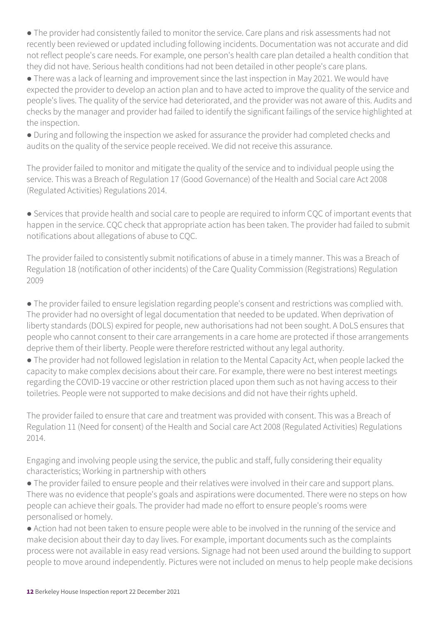● The provider had consistently failed to monitor the service. Care plans and risk assessments had not recently been reviewed or updated including following incidents. Documentation was not accurate and did not reflect people's care needs. For example, one person's health care plan detailed a health condition that they did not have. Serious health conditions had not been detailed in other people's care plans.

● There was a lack of learning and improvement since the last inspection in May 2021. We would have expected the provider to develop an action plan and to have acted to improve the quality of the service and people's lives. The quality of the service had deteriorated, and the provider was not aware of this. Audits and checks by the manager and provider had failed to identify the significant failings of the service highlighted at the inspection.

● During and following the inspection we asked for assurance the provider had completed checks and audits on the quality of the service people received. We did not receive this assurance.

The provider failed to monitor and mitigate the quality of the service and to individual people using the service. This was a Breach of Regulation 17 (Good Governance) of the Health and Social care Act 2008 (Regulated Activities) Regulations 2014.

● Services that provide health and social care to people are required to inform CQC of important events that happen in the service. CQC check that appropriate action has been taken. The provider had failed to submit notifications about allegations of abuse to CQC.

The provider failed to consistently submit notifications of abuse in a timely manner. This was a Breach of Regulation 18 (notification of other incidents) of the Care Quality Commission (Registrations) Regulation 2009

● The provider failed to ensure legislation regarding people's consent and restrictions was complied with. The provider had no oversight of legal documentation that needed to be updated. When deprivation of liberty standards (DOLS) expired for people, new authorisations had not been sought. A DoLS ensures that people who cannot consent to their care arrangements in a care home are protected if those arrangements deprive them of their liberty. People were therefore restricted without any legal authority.

● The provider had not followed legislation in relation to the Mental Capacity Act, when people lacked the capacity to make complex decisions about their care. For example, there were no best interest meetings regarding the COVID-19 vaccine or other restriction placed upon them such as not having access to their toiletries. People were not supported to make decisions and did not have their rights upheld.

The provider failed to ensure that care and treatment was provided with consent. This was a Breach of Regulation 11 (Need for consent) of the Health and Social care Act 2008 (Regulated Activities) Regulations 2014.

Engaging and involving people using the service, the public and staff, fully considering their equality characteristics; Working in partnership with others

● The provider failed to ensure people and their relatives were involved in their care and support plans. There was no evidence that people's goals and aspirations were documented. There were no steps on how people can achieve their goals. The provider had made no effort to ensure people's rooms were personalised or homely.

● Action had not been taken to ensure people were able to be involved in the running of the service and make decision about their day to day lives. For example, important documents such as the complaints process were not available in easy read versions. Signage had not been used around the building to support people to move around independently. Pictures were not included on menus to help people make decisions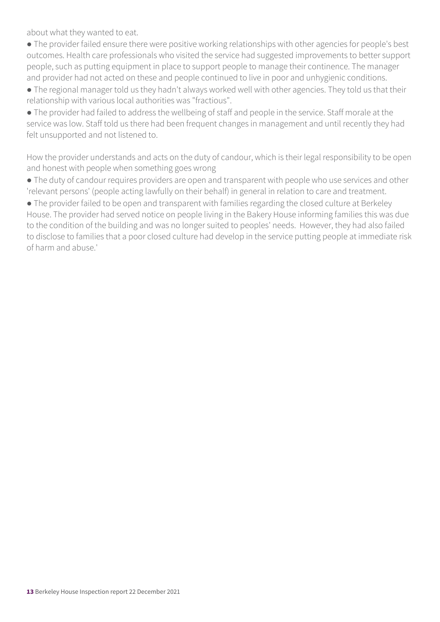about what they wanted to eat.

- The provider failed ensure there were positive working relationships with other agencies for people's best outcomes. Health care professionals who visited the service had suggested improvements to better support people, such as putting equipment in place to support people to manage their continence. The manager and provider had not acted on these and people continued to live in poor and unhygienic conditions.
- The regional manager told us they hadn't always worked well with other agencies. They told us that their relationship with various local authorities was "fractious".
- The provider had failed to address the wellbeing of staff and people in the service. Staff morale at the service was low. Staff told us there had been frequent changes in management and until recently they had felt unsupported and not listened to.

How the provider understands and acts on the duty of candour, which is their legal responsibility to be open and honest with people when something goes wrong

- The duty of candour requires providers are open and transparent with people who use services and other 'relevant persons' (people acting lawfully on their behalf) in general in relation to care and treatment.
- The provider failed to be open and transparent with families regarding the closed culture at Berkeley House. The provider had served notice on people living in the Bakery House informing families this was due to the condition of the building and was no longer suited to peoples' needs. However, they had also failed to disclose to families that a poor closed culture had develop in the service putting people at immediate risk of harm and abuse.'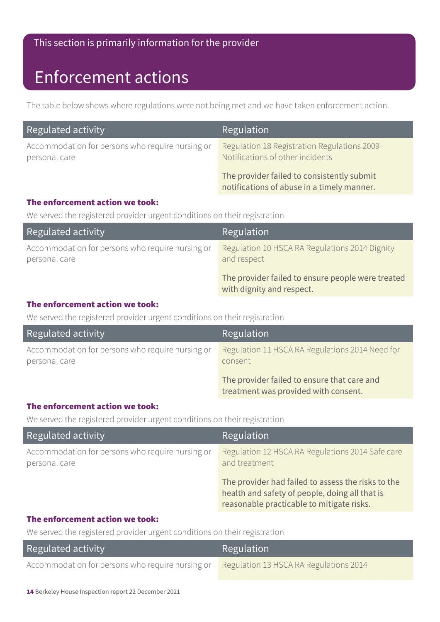#### This section is primarily information for the provider

## Enforcement actions

The table below shows where regulations were not being met and we have taken enforcement action.

| Regulated activity                                                | Regulation                                                                               |
|-------------------------------------------------------------------|------------------------------------------------------------------------------------------|
| Accommodation for persons who require nursing or<br>personal care | Regulation 18 Registration Regulations 2009<br>Notifications of other incidents          |
|                                                                   | The provider failed to consistently submit<br>notifications of abuse in a timely manner. |

#### The enforcement action we took:

We served the registered provider urgent conditions on their registration

| Regulated activity                                                | Regulation                                                                     |
|-------------------------------------------------------------------|--------------------------------------------------------------------------------|
| Accommodation for persons who require nursing or<br>personal care | Regulation 10 HSCA RA Regulations 2014 Dignity<br>and respect                  |
|                                                                   | The provider failed to ensure people were treated<br>with dignity and respect. |

#### The enforcement action we took:

We served the registered provider urgent conditions on their registration

| Regulated activity                                                | Regulation                                                                          |
|-------------------------------------------------------------------|-------------------------------------------------------------------------------------|
| Accommodation for persons who require nursing or<br>personal care | Regulation 11 HSCA RA Regulations 2014 Need for<br>consent                          |
|                                                                   | The provider failed to ensure that care and<br>treatment was provided with consent. |

#### The enforcement action we took:

We served the registered provider urgent conditions on their registration

| Regulated activity                                                | Regulation                                                                                                                                        |
|-------------------------------------------------------------------|---------------------------------------------------------------------------------------------------------------------------------------------------|
| Accommodation for persons who require nursing or<br>personal care | Regulation 12 HSCA RA Regulations 2014 Safe care<br>and treatment                                                                                 |
|                                                                   | The provider had failed to assess the risks to the<br>health and safety of people, doing all that is<br>reasonable practicable to mitigate risks. |

#### The enforcement action we took:

We served the registered provider urgent conditions on their registration

| Regulated activity                                                                      | <b>Regulation</b> |
|-----------------------------------------------------------------------------------------|-------------------|
| Accommodation for persons who require nursing or Regulation 13 HSCA RA Regulations 2014 |                   |